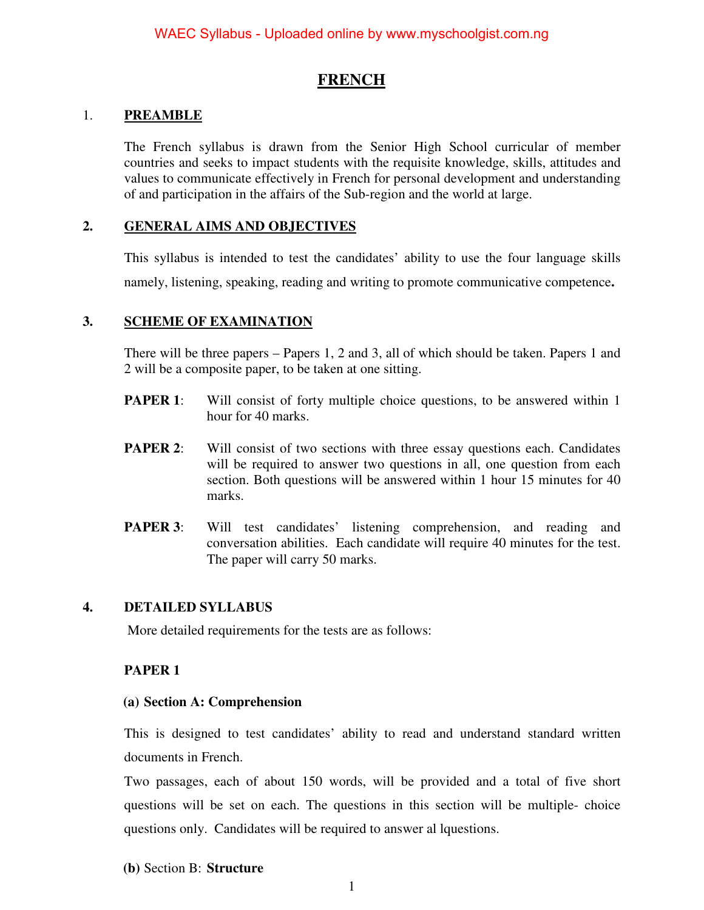# **FRENCH**

## 1. **PREAMBLE**

The French syllabus is drawn from the Senior High School curricular of member countries and seeks to impact students with the requisite knowledge, skills, attitudes and values to communicate effectively in French for personal development and understanding of and participation in the affairs of the Sub-region and the world at large.

## **2. GENERAL AIMS AND OBJECTIVES**

This syllabus is intended to test the candidates' ability to use the four language skills namely, listening, speaking, reading and writing to promote communicative competence**.** 

# **3. SCHEME OF EXAMINATION**

There will be three papers – Papers 1, 2 and 3, all of which should be taken. Papers 1 and 2 will be a composite paper, to be taken at one sitting.

- **PAPER 1:** Will consist of forty multiple choice questions, to be answered within 1 hour for 40 marks.
- **PAPER 2:** Will consist of two sections with three essay questions each. Candidates will be required to answer two questions in all, one question from each section. Both questions will be answered within 1 hour 15 minutes for 40 marks.
- **PAPER 3**: Will test candidates' listening comprehension, and reading and conversation abilities. Each candidate will require 40 minutes for the test. The paper will carry 50 marks.

## **4. DETAILED SYLLABUS**

More detailed requirements for the tests are as follows:

## **PAPER 1**

## **(a) Section A: Comprehension**

This is designed to test candidates' ability to read and understand standard written documents in French.

Two passages, each of about 150 words, will be provided and a total of five short questions will be set on each. The questions in this section will be multiple- choice questions only. Candidates will be required to answer al lquestions.

## **(b)** Section B: **Structure**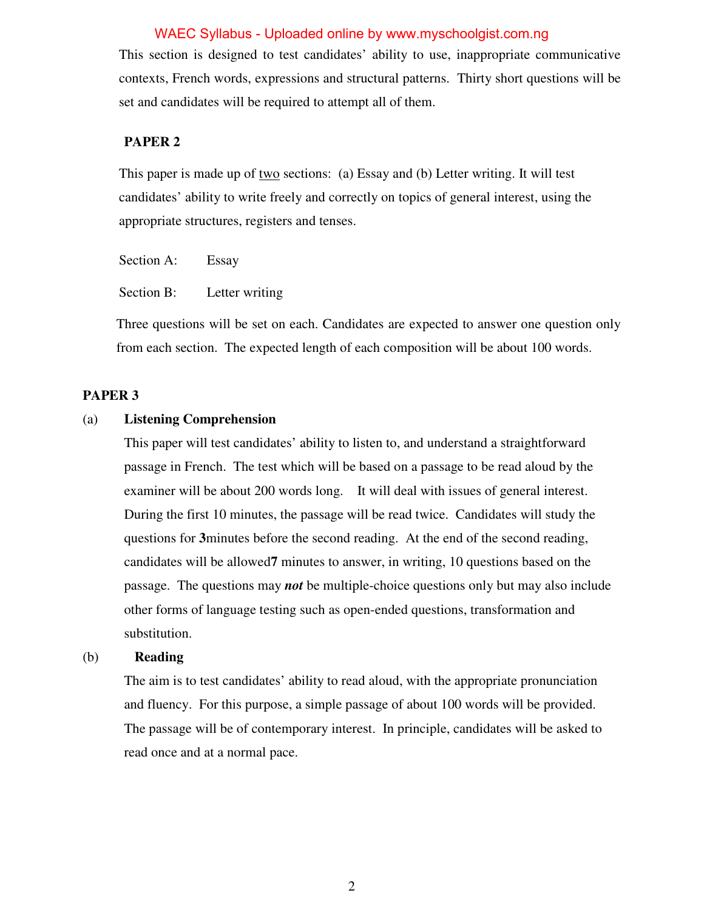This section is designed to test candidates' ability to use, inappropriate communicative contexts, French words, expressions and structural patterns. Thirty short questions will be set and candidates will be required to attempt all of them.

### **PAPER 2**

 This paper is made up of two sections: (a) Essay and (b) Letter writing. It will test candidates' ability to write freely and correctly on topics of general interest, using the appropriate structures, registers and tenses.

Section A: Essay

Section B: Letter writing

Three questions will be set on each. Candidates are expected to answer one question only from each section. The expected length of each composition will be about 100 words.

#### **PAPER 3**

### (a) **Listening Comprehension**

This paper will test candidates' ability to listen to, and understand a straightforward passage in French. The test which will be based on a passage to be read aloud by the examiner will be about 200 words long. It will deal with issues of general interest. During the first 10 minutes, the passage will be read twice. Candidates will study the questions for **3**minutes before the second reading. At the end of the second reading, candidates will be allowed**7** minutes to answer, in writing, 10 questions based on the passage. The questions may *not* be multiple-choice questions only but may also include other forms of language testing such as open-ended questions, transformation and substitution.

### (b) **Reading**

The aim is to test candidates' ability to read aloud, with the appropriate pronunciation and fluency. For this purpose, a simple passage of about 100 words will be provided. The passage will be of contemporary interest. In principle, candidates will be asked to read once and at a normal pace.

2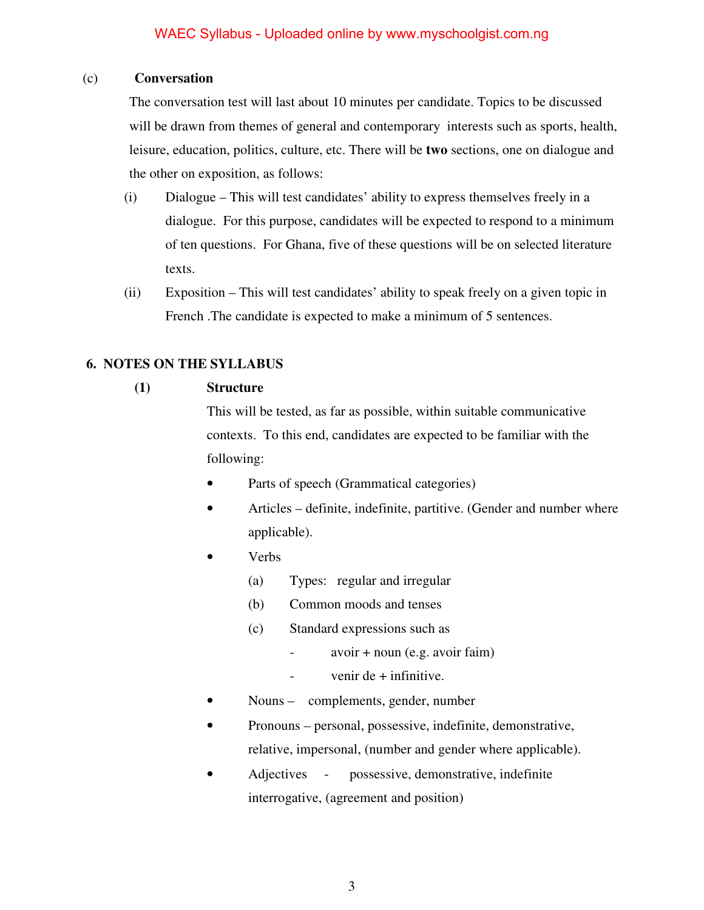# (c) **Conversation**

The conversation test will last about 10 minutes per candidate. Topics to be discussed will be drawn from themes of general and contemporary interests such as sports, health, leisure, education, politics, culture, etc. There will be **two** sections, one on dialogue and the other on exposition, as follows:

- (i) Dialogue This will test candidates' ability to express themselves freely in a dialogue. For this purpose, candidates will be expected to respond to a minimum of ten questions. For Ghana, five of these questions will be on selected literature texts.
- (ii) Exposition This will test candidates' ability to speak freely on a given topic in French .The candidate is expected to make a minimum of 5 sentences.

# **6. NOTES ON THE SYLLABUS**

# **(1) Structure**

This will be tested, as far as possible, within suitable communicative contexts. To this end, candidates are expected to be familiar with the following:

- Parts of speech (Grammatical categories)
- Articles definite, indefinite, partitive. (Gender and number where applicable).
- Verbs
	- (a) Types: regular and irregular
	- (b) Common moods and tenses
	- (c) Standard expressions such as
		- $avoir + noun (e.g. avoir faim)$
		- $-$  venir de  $+$  infinitive.
- Nouns complements, gender, number
- Pronouns personal, possessive, indefinite, demonstrative, relative, impersonal, (number and gender where applicable).
- Adjectives possessive, demonstrative, indefinite interrogative, (agreement and position)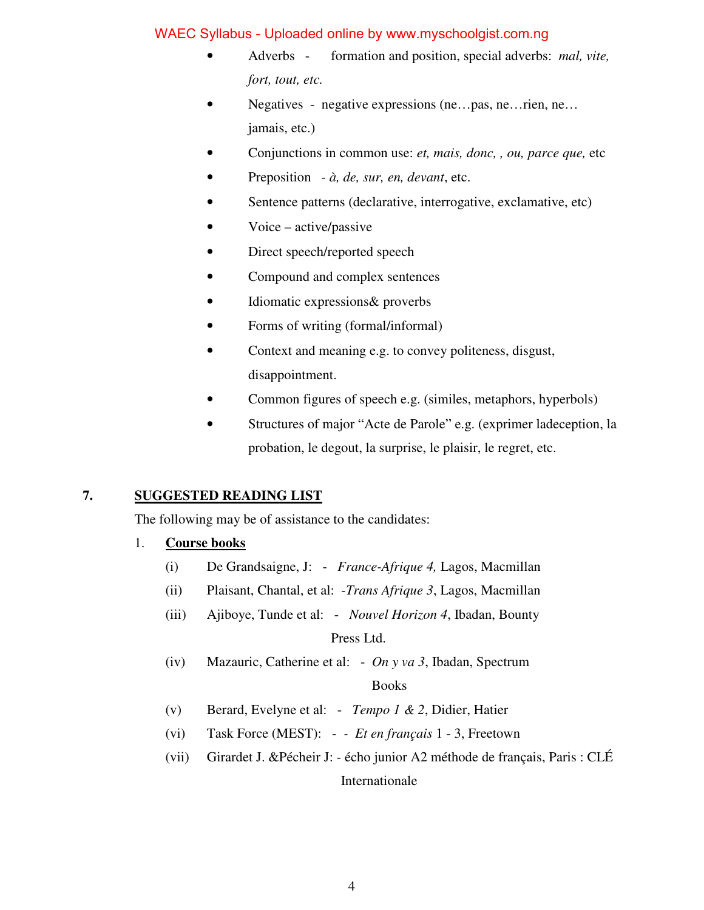- Adverbs formation and position, special adverbs: *mal, vite, fort, tout, etc.*
- Negatives negative expressions (ne...pas, ne...rien, ne... jamais, etc.)
- Conjunctions in common use: *et, mais, donc, , ou, parce que,* etc
- Preposition *à, de, sur, en, devant*, etc.
- Sentence patterns (declarative, interrogative, exclamative, etc)
- Voice active/passive
- Direct speech/reported speech
- Compound and complex sentences
- Idiomatic expressions & proverbs
- Forms of writing (formal/informal)
- Context and meaning e.g. to convey politeness, disgust, disappointment.
- Common figures of speech e.g. (similes, metaphors, hyperbols)
- Structures of major "Acte de Parole" e.g. (exprimer ladeception, la probation, le degout, la surprise, le plaisir, le regret, etc.

# **7. SUGGESTED READING LIST**

The following may be of assistance to the candidates:

## 1. **Course books**

- (i) De Grandsaigne, J: *France-Afrique 4,* Lagos, Macmillan
- (ii) Plaisant, Chantal, et al: -*Trans Afrique 3*, Lagos, Macmillan
- (iii) Ajiboye, Tunde et al: *Nouvel Horizon 4*, Ibadan, Bounty Press Ltd.
- (iv) Mazauric, Catherine et al: *On y va 3*, Ibadan, Spectrum

## Books

- (v) Berard, Evelyne et al: *Tempo 1 & 2*, Didier, Hatier
- (vi) Task Force (MEST):  *Et en français* 1 3, Freetown
- (vii) Girardet J. &Pécheir J: écho junior A2 méthode de français, Paris : CLÉ Internationale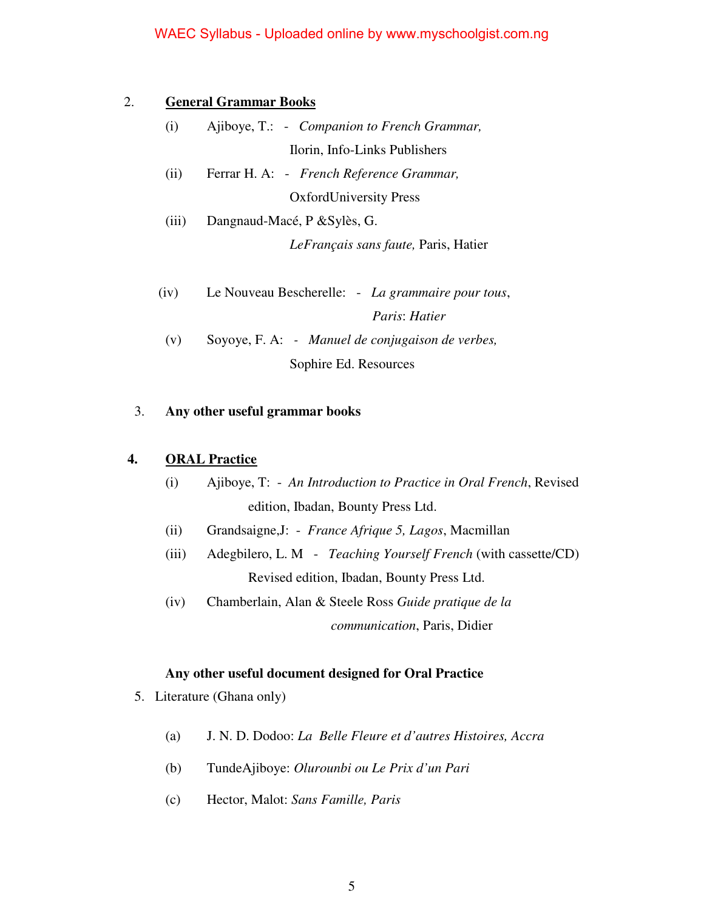### 2. **General Grammar Books**

- (i) Ajiboye, T.: *Companion to French Grammar,* Ilorin, Info-Links Publishers
- (ii) Ferrar H. A: *French Reference Grammar,* OxfordUniversity Press
- (iii) Dangnaud-Macé, P &Sylès, G. *LeFrançais sans faute,* Paris, Hatier
- (iv) Le Nouveau Bescherelle: *La grammaire pour tous*, *Paris*: *Hatier*
- (v) Soyoye, F. A: *Manuel de conjugaison de verbes,*  Sophire Ed. Resources

### 3. **Any other useful grammar books**

## **4. ORAL Practice**

- (i) Ajiboye, T: *An Introduction to Practice in Oral French*, Revised edition, Ibadan, Bounty Press Ltd.
- (ii) Grandsaigne,J: *France Afrique 5, Lagos*, Macmillan
- (iii) Adegbilero, L. M *Teaching Yourself French* (with cassette/CD) Revised edition, Ibadan, Bounty Press Ltd.
- (iv) Chamberlain, Alan & Steele Ross *Guide pratique de la communication*, Paris, Didier

### **Any other useful document designed for Oral Practice**

- 5. Literature (Ghana only)
	- (a) J. N. D. Dodoo: *La Belle Fleure et d'autres Histoires, Accra*
	- (b) TundeAjiboye: *Olurounbi ou Le Prix d'un Pari*
	- (c) Hector, Malot: *Sans Famille, Paris*